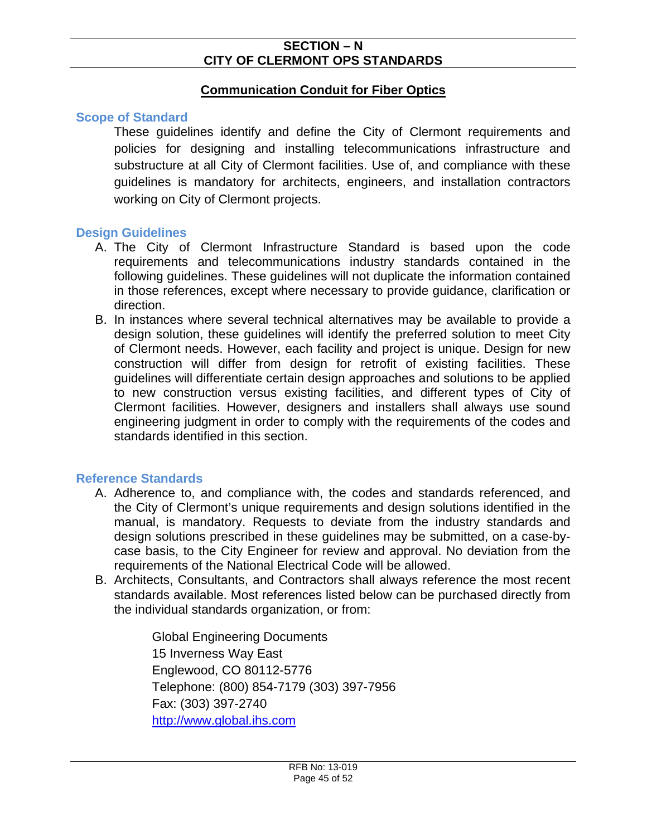# **Communication Conduit for Fiber Optics**

#### **Scope of Standard**

These guidelines identify and define the City of Clermont requirements and policies for designing and installing telecommunications infrastructure and substructure at all City of Clermont facilities. Use of, and compliance with these guidelines is mandatory for architects, engineers, and installation contractors working on City of Clermont projects.

#### **Design Guidelines**

- A. The City of Clermont Infrastructure Standard is based upon the code requirements and telecommunications industry standards contained in the following guidelines. These guidelines will not duplicate the information contained in those references, except where necessary to provide guidance, clarification or direction.
- B. In instances where several technical alternatives may be available to provide a design solution, these guidelines will identify the preferred solution to meet City of Clermont needs. However, each facility and project is unique. Design for new construction will differ from design for retrofit of existing facilities. These guidelines will differentiate certain design approaches and solutions to be applied to new construction versus existing facilities, and different types of City of Clermont facilities. However, designers and installers shall always use sound engineering judgment in order to comply with the requirements of the codes and standards identified in this section.

# **Reference Standards**

- A. Adherence to, and compliance with, the codes and standards referenced, and the City of Clermont's unique requirements and design solutions identified in the manual, is mandatory. Requests to deviate from the industry standards and design solutions prescribed in these guidelines may be submitted, on a case-bycase basis, to the City Engineer for review and approval. No deviation from the requirements of the National Electrical Code will be allowed.
- B. Architects, Consultants, and Contractors shall always reference the most recent standards available. Most references listed below can be purchased directly from the individual standards organization, or from:

Global Engineering Documents 15 Inverness Way East Englewood, CO 80112-5776 Telephone: (800) 854-7179 (303) 397-7956 Fax: (303) 397-2740 [http://www.global.ihs.com](http://www.global.ihs.com/)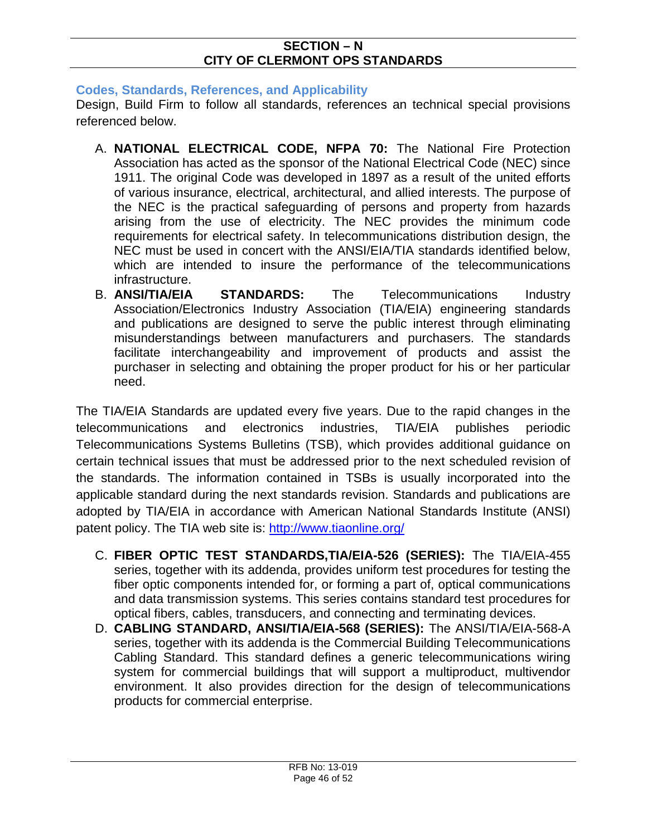# **Codes, Standards, References, and Applicability**

Design, Build Firm to follow all standards, references an technical special provisions referenced below.

- A. **NATIONAL ELECTRICAL CODE, NFPA 70:** The National Fire Protection Association has acted as the sponsor of the National Electrical Code (NEC) since 1911. The original Code was developed in 1897 as a result of the united efforts of various insurance, electrical, architectural, and allied interests. The purpose of the NEC is the practical safeguarding of persons and property from hazards arising from the use of electricity. The NEC provides the minimum code requirements for electrical safety. In telecommunications distribution design, the NEC must be used in concert with the ANSI/EIA/TIA standards identified below, which are intended to insure the performance of the telecommunications infrastructure.
- B. **ANSI/TIA/EIA STANDARDS:** The Telecommunications Industry Association/Electronics Industry Association (TIA/EIA) engineering standards and publications are designed to serve the public interest through eliminating misunderstandings between manufacturers and purchasers. The standards facilitate interchangeability and improvement of products and assist the purchaser in selecting and obtaining the proper product for his or her particular need.

The TIA/EIA Standards are updated every five years. Due to the rapid changes in the telecommunications and electronics industries, TIA/EIA publishes periodic Telecommunications Systems Bulletins (TSB), which provides additional guidance on certain technical issues that must be addressed prior to the next scheduled revision of the standards. The information contained in TSBs is usually incorporated into the applicable standard during the next standards revision. Standards and publications are adopted by TIA/EIA in accordance with American National Standards Institute (ANSI) patent policy. The TIA web site is:<http://www.tiaonline.org/>

- C. **FIBER OPTIC TEST STANDARDS,TIA/EIA-526 (SERIES):** The TIA/EIA-455 series, together with its addenda, provides uniform test procedures for testing the fiber optic components intended for, or forming a part of, optical communications and data transmission systems. This series contains standard test procedures for optical fibers, cables, transducers, and connecting and terminating devices.
- D. **CABLING STANDARD, ANSI/TIA/EIA-568 (SERIES):** The ANSI/TIA/EIA-568-A series, together with its addenda is the Commercial Building Telecommunications Cabling Standard. This standard defines a generic telecommunications wiring system for commercial buildings that will support a multiproduct, multivendor environment. It also provides direction for the design of telecommunications products for commercial enterprise.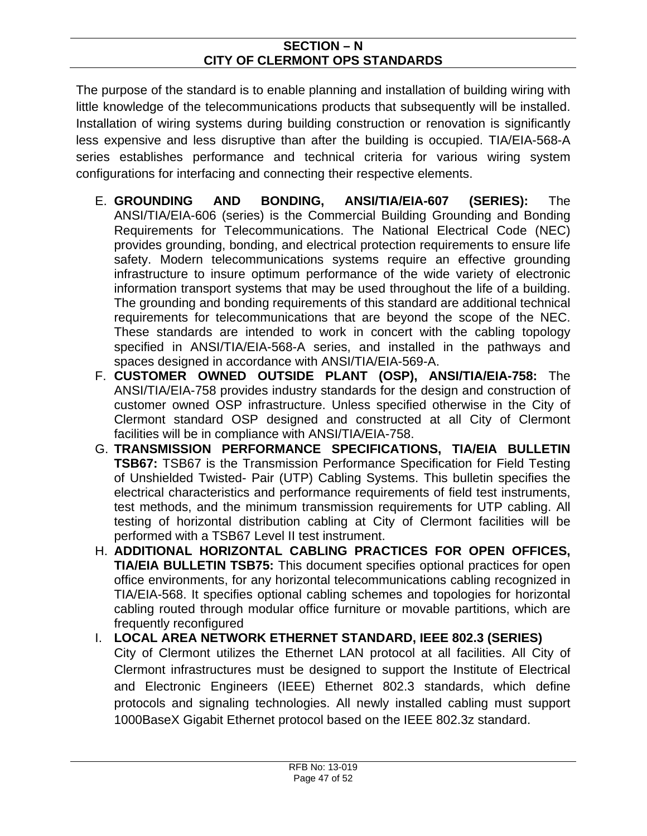The purpose of the standard is to enable planning and installation of building wiring with little knowledge of the telecommunications products that subsequently will be installed. Installation of wiring systems during building construction or renovation is significantly less expensive and less disruptive than after the building is occupied. TIA/EIA-568-A series establishes performance and technical criteria for various wiring system configurations for interfacing and connecting their respective elements.

- E. **GROUNDING AND BONDING, ANSI/TIA/EIA-607 (SERIES):** The ANSI/TIA/EIA-606 (series) is the Commercial Building Grounding and Bonding Requirements for Telecommunications. The National Electrical Code (NEC) provides grounding, bonding, and electrical protection requirements to ensure life safety. Modern telecommunications systems require an effective grounding infrastructure to insure optimum performance of the wide variety of electronic information transport systems that may be used throughout the life of a building. The grounding and bonding requirements of this standard are additional technical requirements for telecommunications that are beyond the scope of the NEC. These standards are intended to work in concert with the cabling topology specified in ANSI/TIA/EIA-568-A series, and installed in the pathways and spaces designed in accordance with ANSI/TIA/EIA-569-A.
- F. **CUSTOMER OWNED OUTSIDE PLANT (OSP), ANSI/TIA/EIA-758:** The ANSI/TIA/EIA-758 provides industry standards for the design and construction of customer owned OSP infrastructure. Unless specified otherwise in the City of Clermont standard OSP designed and constructed at all City of Clermont facilities will be in compliance with ANSI/TIA/EIA-758.
- G. **TRANSMISSION PERFORMANCE SPECIFICATIONS, TIA/EIA BULLETIN TSB67:** TSB67 is the Transmission Performance Specification for Field Testing of Unshielded Twisted- Pair (UTP) Cabling Systems. This bulletin specifies the electrical characteristics and performance requirements of field test instruments, test methods, and the minimum transmission requirements for UTP cabling. All testing of horizontal distribution cabling at City of Clermont facilities will be performed with a TSB67 Level II test instrument.
- H. **ADDITIONAL HORIZONTAL CABLING PRACTICES FOR OPEN OFFICES, TIA/EIA BULLETIN TSB75:** This document specifies optional practices for open office environments, for any horizontal telecommunications cabling recognized in TIA/EIA-568. It specifies optional cabling schemes and topologies for horizontal cabling routed through modular office furniture or movable partitions, which are frequently reconfigured
- I. **LOCAL AREA NETWORK ETHERNET STANDARD, IEEE 802.3 (SERIES)** City of Clermont utilizes the Ethernet LAN protocol at all facilities. All City of Clermont infrastructures must be designed to support the Institute of Electrical and Electronic Engineers (IEEE) Ethernet 802.3 standards, which define protocols and signaling technologies. All newly installed cabling must support 1000BaseX Gigabit Ethernet protocol based on the IEEE 802.3z standard.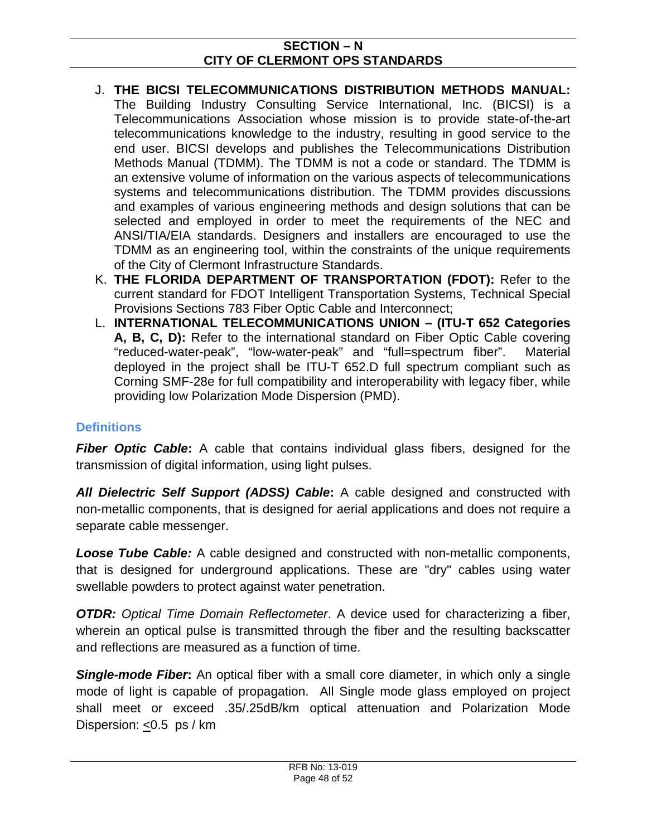- J. **THE BICSI TELECOMMUNICATIONS DISTRIBUTION METHODS MANUAL:**  The Building Industry Consulting Service International, Inc. (BICSI) is a Telecommunications Association whose mission is to provide state-of-the-art telecommunications knowledge to the industry, resulting in good service to the end user. BICSI develops and publishes the Telecommunications Distribution Methods Manual (TDMM). The TDMM is not a code or standard. The TDMM is an extensive volume of information on the various aspects of telecommunications systems and telecommunications distribution. The TDMM provides discussions and examples of various engineering methods and design solutions that can be selected and employed in order to meet the requirements of the NEC and ANSI/TIA/EIA standards. Designers and installers are encouraged to use the TDMM as an engineering tool, within the constraints of the unique requirements of the City of Clermont Infrastructure Standards.
- K. **THE FLORIDA DEPARTMENT OF TRANSPORTATION (FDOT):** Refer to the current standard for FDOT Intelligent Transportation Systems, Technical Special Provisions Sections 783 Fiber Optic Cable and Interconnect;
- L. **INTERNATIONAL TELECOMMUNICATIONS UNION (ITU-T 652 Categories A, B, C, D):** Refer to the international standard on Fiber Optic Cable covering "reduced-water-peak", "low-water-peak" and "full=spectrum fiber". Material deployed in the project shall be ITU-T 652.D full spectrum compliant such as Corning SMF-28e for full compatibility and interoperability with legacy fiber, while providing low Polarization Mode Dispersion (PMD).

# **Definitions**

*Fiber Optic Cable***:** A cable that contains individual glass fibers, designed for the transmission of digital information, using light pulses.

*All Dielectric Self Support (ADSS) Cable***:** A cable designed and constructed with non-metallic components, that is designed for aerial applications and does not require a separate cable messenger.

*Loose Tube Cable:* A cable designed and constructed with non-metallic components, that is designed for underground applications. These are "dry" cables using water swellable powders to protect against water penetration.

*OTDR: Optical Time Domain Reflectometer.* A device used for characterizing a fiber, wherein an optical pulse is transmitted through the fiber and the resulting backscatter and reflections are measured as a function of time.

*Single-mode Fiber***:** An optical fiber with a small core diameter, in which only a single mode of light is capable of propagation. All Single mode glass employed on project shall meet or exceed .35/.25dB/km optical attenuation and Polarization Mode Dispersion: <0.5 ps / km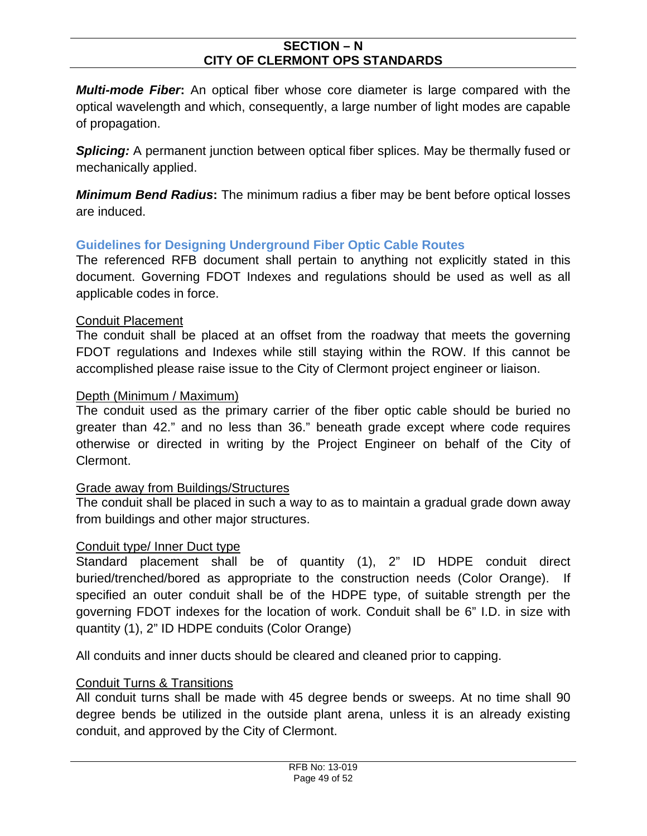*Multi-mode Fiber***:** An optical fiber whose core diameter is large compared with the optical wavelength and which, consequently, a large number of light modes are capable of propagation.

**Splicing:** A permanent junction between optical fiber splices. May be thermally fused or mechanically applied.

*Minimum Bend Radius***:** The minimum radius a fiber may be bent before optical losses are induced.

# **Guidelines for Designing Underground Fiber Optic Cable Routes**

The referenced RFB document shall pertain to anything not explicitly stated in this document. Governing FDOT Indexes and regulations should be used as well as all applicable codes in force.

#### Conduit Placement

The conduit shall be placed at an offset from the roadway that meets the governing FDOT regulations and Indexes while still staying within the ROW. If this cannot be accomplished please raise issue to the City of Clermont project engineer or liaison.

# Depth (Minimum / Maximum)

The conduit used as the primary carrier of the fiber optic cable should be buried no greater than 42." and no less than 36." beneath grade except where code requires otherwise or directed in writing by the Project Engineer on behalf of the City of Clermont.

# Grade away from Buildings/Structures

The conduit shall be placed in such a way to as to maintain a gradual grade down away from buildings and other major structures.

# Conduit type/ Inner Duct type

Standard placement shall be of quantity (1), 2" ID HDPE conduit direct buried/trenched/bored as appropriate to the construction needs (Color Orange). If specified an outer conduit shall be of the HDPE type, of suitable strength per the governing FDOT indexes for the location of work. Conduit shall be 6" I.D. in size with quantity (1), 2" ID HDPE conduits (Color Orange)

All conduits and inner ducts should be cleared and cleaned prior to capping.

# Conduit Turns & Transitions

All conduit turns shall be made with 45 degree bends or sweeps. At no time shall 90 degree bends be utilized in the outside plant arena, unless it is an already existing conduit, and approved by the City of Clermont.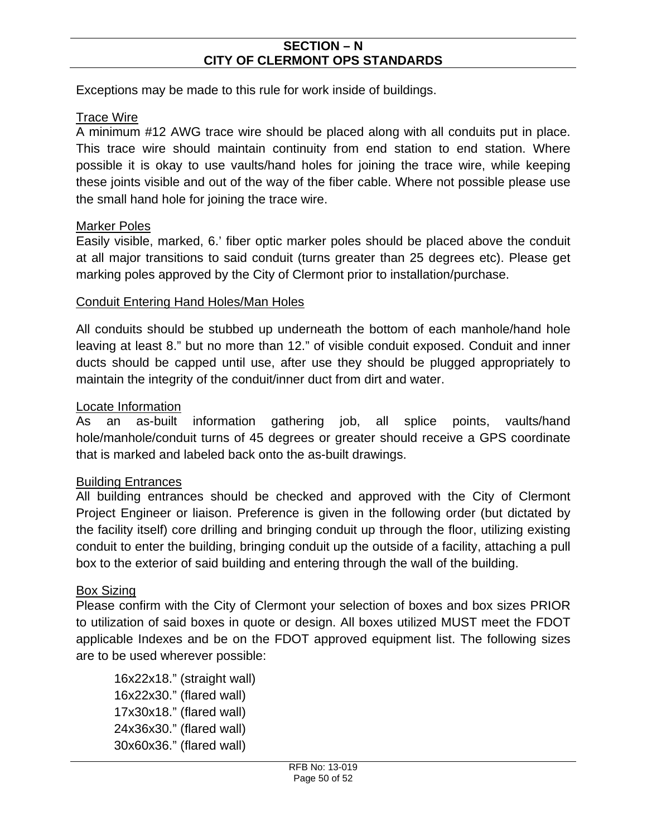Exceptions may be made to this rule for work inside of buildings.

# Trace Wire

A minimum #12 AWG trace wire should be placed along with all conduits put in place. This trace wire should maintain continuity from end station to end station. Where possible it is okay to use vaults/hand holes for joining the trace wire, while keeping these joints visible and out of the way of the fiber cable. Where not possible please use the small hand hole for joining the trace wire.

#### Marker Poles

Easily visible, marked, 6.' fiber optic marker poles should be placed above the conduit at all major transitions to said conduit (turns greater than 25 degrees etc). Please get marking poles approved by the City of Clermont prior to installation/purchase.

#### Conduit Entering Hand Holes/Man Holes

All conduits should be stubbed up underneath the bottom of each manhole/hand hole leaving at least 8." but no more than 12." of visible conduit exposed. Conduit and inner ducts should be capped until use, after use they should be plugged appropriately to maintain the integrity of the conduit/inner duct from dirt and water.

#### Locate Information

As an as-built information gathering job, all splice points, vaults/hand hole/manhole/conduit turns of 45 degrees or greater should receive a GPS coordinate that is marked and labeled back onto the as-built drawings.

# Building Entrances

All building entrances should be checked and approved with the City of Clermont Project Engineer or liaison. Preference is given in the following order (but dictated by the facility itself) core drilling and bringing conduit up through the floor, utilizing existing conduit to enter the building, bringing conduit up the outside of a facility, attaching a pull box to the exterior of said building and entering through the wall of the building.

# Box Sizing

Please confirm with the City of Clermont your selection of boxes and box sizes PRIOR to utilization of said boxes in quote or design. All boxes utilized MUST meet the FDOT applicable Indexes and be on the FDOT approved equipment list. The following sizes are to be used wherever possible:

16x22x18." (straight wall) 16x22x30." (flared wall) 17x30x18." (flared wall) 24x36x30." (flared wall) 30x60x36." (flared wall)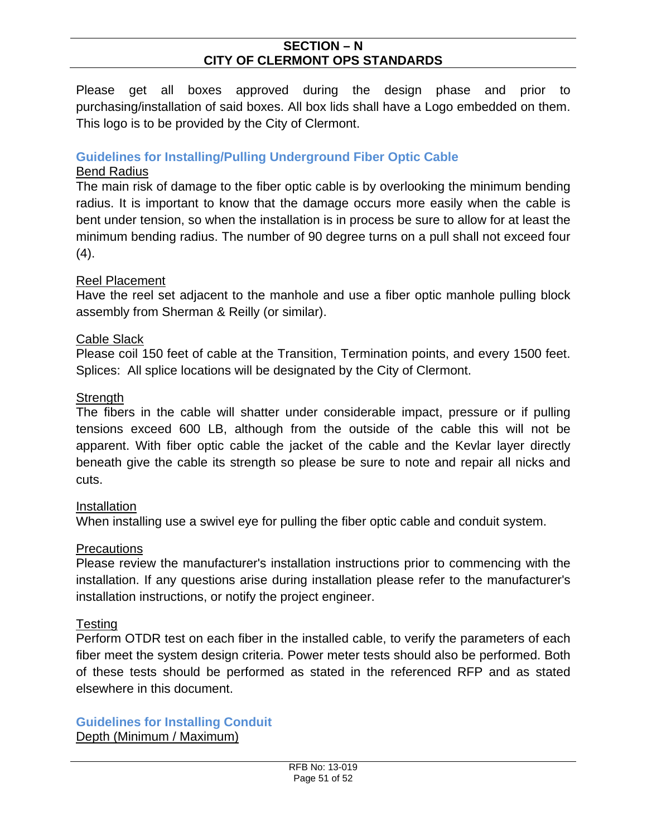Please get all boxes approved during the design phase and prior to purchasing/installation of said boxes. All box lids shall have a Logo embedded on them. This logo is to be provided by the City of Clermont.

# **Guidelines for Installing/Pulling Underground Fiber Optic Cable**

#### Bend Radius

The main risk of damage to the fiber optic cable is by overlooking the minimum bending radius. It is important to know that the damage occurs more easily when the cable is bent under tension, so when the installation is in process be sure to allow for at least the minimum bending radius. The number of 90 degree turns on a pull shall not exceed four  $(4).$ 

#### Reel Placement

Have the reel set adjacent to the manhole and use a fiber optic manhole pulling block assembly from Sherman & Reilly (or similar).

#### Cable Slack

Please coil 150 feet of cable at the Transition, Termination points, and every 1500 feet. Splices: All splice locations will be designated by the City of Clermont.

#### **Strength**

The fibers in the cable will shatter under considerable impact, pressure or if pulling tensions exceed 600 LB, although from the outside of the cable this will not be apparent. With fiber optic cable the jacket of the cable and the Kevlar layer directly beneath give the cable its strength so please be sure to note and repair all nicks and cuts.

# Installation

When installing use a swivel eye for pulling the fiber optic cable and conduit system.

# Precautions

Please review the manufacturer's installation instructions prior to commencing with the installation. If any questions arise during installation please refer to the manufacturer's installation instructions, or notify the project engineer.

# Testing

Perform OTDR test on each fiber in the installed cable, to verify the parameters of each fiber meet the system design criteria. Power meter tests should also be performed. Both of these tests should be performed as stated in the referenced RFP and as stated elsewhere in this document.

**Guidelines for Installing Conduit** Depth (Minimum / Maximum)